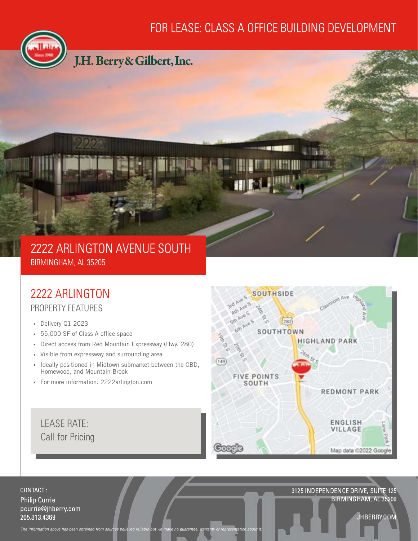## FOR LEASE: CLASS A OFFICE BUILDING DEVELOPMENT



J.H. Berry & Gilbert, Inc.

## 2222 ARLINGTON AVENUE SOUTH BIRMINGHAM, AL 35205

## 2222 ARLINGTON PROPERTY FEATURES

- Delivery Q1 2023
- 55,000 SF of Class A office space  $\bullet$
- Direct access from Red Mountain Expressway (Hwy. 280)
- Visible from expressway and surrounding area
- Ideally positioned in Midtown submarket between the CBD,  $\bullet$ Homewood, and Mountain Brook
- For more information: 2222arlington.com



LEASE RATE: Call for Pricing

### 3125 INDEPENDENCE DRIVE, SUITE 125 BIRMINGHAM, AL 35209

Philip Currie pcurrie@jhberry.com 205.313.4369

CONTACT :

The information above has been obtained from s

JHBERRY.COM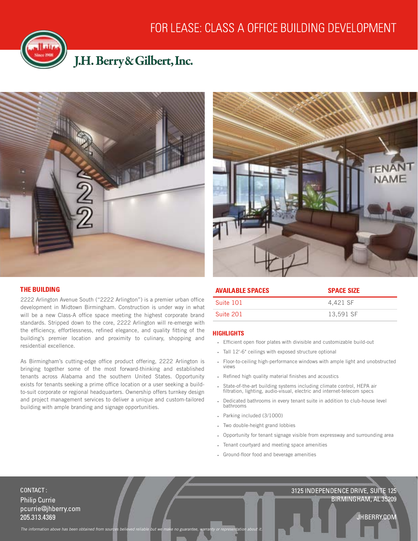## FOR LEASE: CLASS A OFFICE BUILDING DEVELOPMENT



# J.H. Berry & Gilbert, Inc.



## THE BUILDING

2222 Arlington Avenue South ("2222 Arlington") is a premier urban office development in Midtown Birmingham. Construction is under way in what will be a new Class-A office space meeting the highest corporate brand standards. Stripped down to the core, 2222 Arlington will re-emerge with the efficiency, effortlessness, refined elegance, and quality fitting of the building's premier location and proximity to culinary, shopping and residential excellence.

As Birmingham's cutting-edge office product offering, 2222 Arlington is bringing together some of the most forward-thinking and established tenants across Alabama and the southern United States. Opportunity exists for tenants seeking a prime office location or a user seeking a buildto-suit corporate or regional headquarters. Ownership offers turnkey design and project management services to deliver a unique and custom-tailored building with ample branding and signage opportunities.



## AVAILABLE SPACES SPACE SIZE

| Suite 101 | 4.421 SF  |
|-----------|-----------|
| Suite 201 | 13.591 SF |

#### **HIGHLIGHTS**

- Efficient open floor plates with divisible and customizable build-out
- Tall 12'-6" ceilings with exposed structure optional
- Floor-to-ceiling high-performance windows with ample light and unobstructed views
- Refined high quality material finishes and acoustics
- State-of-the-art building systems including climate control, HEPA air filtration, lighting, audio-visual, electric and internet-telecom specs
- Dedicated bathrooms in every tenant suite in addition to club-house level bathrooms
- Parking included (3/1000)
- Two double-height grand lobbies
- Opportunity for tenant signage visible from expressway and surrounding area
- Tenant courtyard and meeting space amenities
- Ground-floor food and beverage amenities

### 3125 INDEPENDENCE DRIVE, SUITE 125 BIRMINGHAM, AL 35209

Philip Currie pcurrie@jhberry.com 205.313.4369

CONTACT :

The information above has been obtained from so